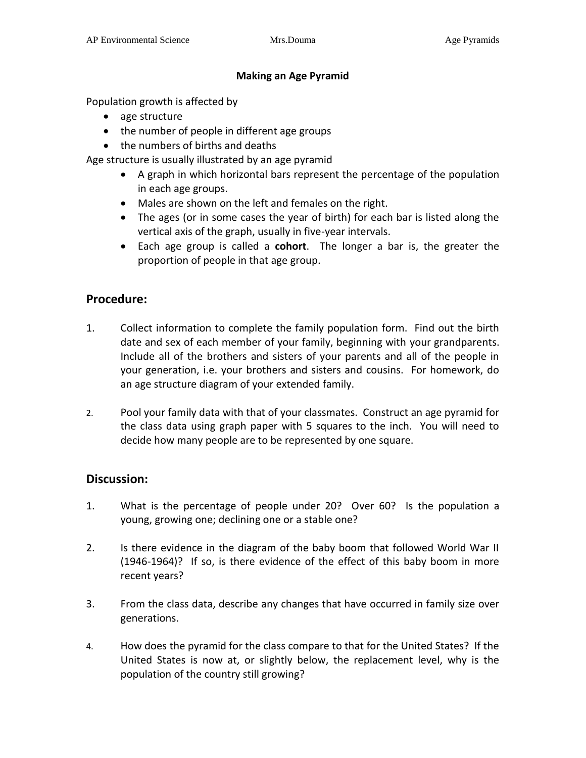#### **Making an Age Pyramid**

Population growth is affected by

- age structure
- the number of people in different age groups
- the numbers of births and deaths

Age structure is usually illustrated by an age pyramid

- A graph in which horizontal bars represent the percentage of the population in each age groups.
- Males are shown on the left and females on the right.
- The ages (or in some cases the year of birth) for each bar is listed along the vertical axis of the graph, usually in five-year intervals.
- Each age group is called a **cohort**. The longer a bar is, the greater the proportion of people in that age group.

# **Procedure:**

- 1. Collect information to complete the family population form. Find out the birth date and sex of each member of your family, beginning with your grandparents. Include all of the brothers and sisters of your parents and all of the people in your generation, i.e. your brothers and sisters and cousins. For homework, do an age structure diagram of your extended family.
- 2. Pool your family data with that of your classmates. Construct an age pyramid for the class data using graph paper with 5 squares to the inch. You will need to decide how many people are to be represented by one square.

### **Discussion:**

- 1. What is the percentage of people under 20? Over 60? Is the population a young, growing one; declining one or a stable one?
- 2. Is there evidence in the diagram of the baby boom that followed World War II (1946-1964)? If so, is there evidence of the effect of this baby boom in more recent years?
- 3. From the class data, describe any changes that have occurred in family size over generations.
- 4. How does the pyramid for the class compare to that for the United States? If the United States is now at, or slightly below, the replacement level, why is the population of the country still growing?